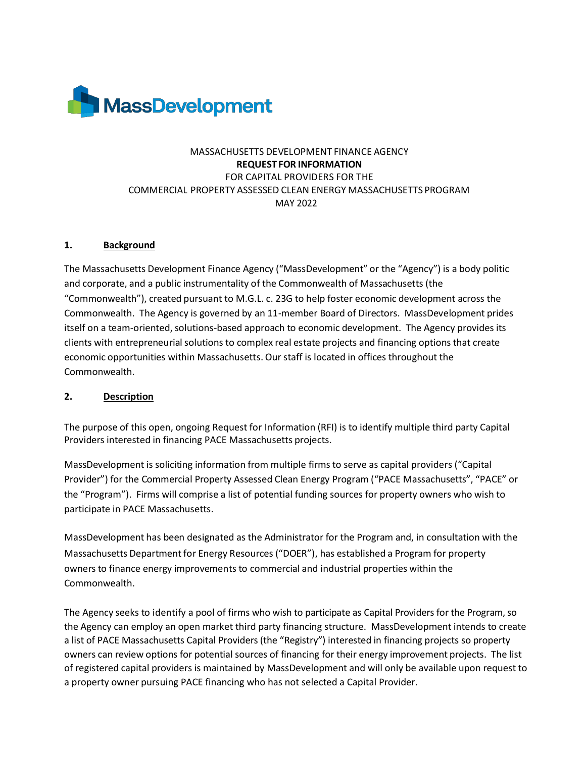

# MASSACHUSETTS DEVELOPMENT FINANCE AGENCY **REQUEST FOR INFORMATION** FOR CAPITAL PROVIDERS FOR THE COMMERCIAL PROPERTY ASSESSED CLEAN ENERGY MASSACHUSETTS PROGRAM MAY 2022

#### **1. Background**

The Massachusetts Development Finance Agency ("MassDevelopment" or the "Agency") is a body politic and corporate, and a public instrumentality of the Commonwealth of Massachusetts (the "Commonwealth"), created pursuant to M.G.L. c. 23G to help foster economic development across the Commonwealth. The Agency is governed by an 11-member Board of Directors. MassDevelopment prides itself on a team-oriented, solutions-based approach to economic development. The Agency provides its clients with entrepreneurial solutions to complex real estate projects and financing options that create economic opportunities within Massachusetts. Our staff is located in offices throughout the Commonwealth.

#### **2. Description**

The purpose of this open, ongoing Request for Information (RFI) is to identify multiple third party Capital Providers interested in financing PACE Massachusetts projects.

MassDevelopment is soliciting information from multiple firms to serve as capital providers ("Capital Provider") for the Commercial Property Assessed Clean Energy Program ("PACE Massachusetts", "PACE" or the "Program"). Firms will comprise a list of potential funding sources for property owners who wish to participate in PACE Massachusetts.

MassDevelopment has been designated as the Administrator for the Program and, in consultation with the Massachusetts Department for Energy Resources ("DOER"), has established a Program for property owners to finance energy improvements to commercial and industrial properties within the Commonwealth.

The Agency seeks to identify a pool of firms who wish to participate as Capital Providers for the Program,so the Agency can employ an open market third party financing structure. MassDevelopment intends to create a list of PACE Massachusetts Capital Providers (the "Registry") interested in financing projects so property owners can review options for potential sources of financing for their energy improvement projects. The list of registered capital providers is maintained by MassDevelopment and will only be available upon request to a property owner pursuing PACE financing who has not selected a Capital Provider.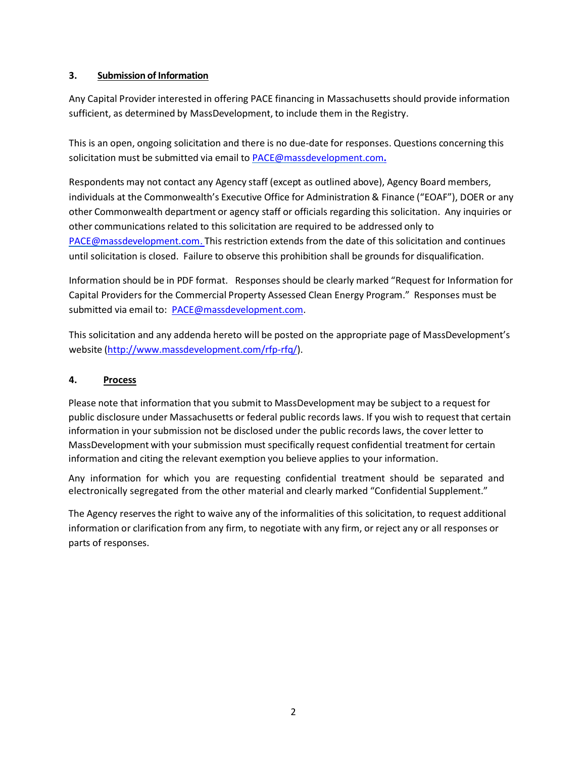### **3. Submission of Information**

Any Capital Provider interested in offering PACE financing in Massachusetts should provide information sufficient, as determined by MassDevelopment, to include them in the Registry.

This is an open, ongoing solicitation and there is no due-date for responses. Questions concerning this solicitation must be submitted via email t[o PACE@massdevelopment.com](mailto:PACE@massdevelopment.com.)**.**

Respondents may not contact any Agency staff (except as outlined above), Agency Board members, individuals at the Commonwealth's Executive Office for Administration & Finance ("EOAF"), DOER or any other Commonwealth department or agency staff or officials regarding this solicitation. Any inquiries or other communications related to this solicitation are required to be addressed only to [PACE@massdevelopment.com.](mailto:PACE@massdevelopment.com.) This restriction extends from the date of this solicitation and continues until solicitation is closed. Failure to observe this prohibition shall be grounds for disqualification.

Information should be in PDF format. Responses should be clearly marked "Request for Information for Capital Providers for the Commercial Property Assessed Clean Energy Program." Responses must be submitted via email to: [PACE@massdevelopment.com.](mailto:PACE@massdevelopment.com)

This solicitation and any addenda hereto will be posted on the appropriate page of MassDevelopment's website [\(http://www.massdevelopment.com/rfp-rfq/\)](http://www.massdevelopment.com/rfp-rfq/).

### **4. Process**

Please note that information that you submit to MassDevelopment may be subject to a request for public disclosure under Massachusetts or federal public records laws. If you wish to request that certain information in your submission not be disclosed under the public records laws, the cover letter to MassDevelopment with your submission must specifically request confidential treatment for certain information and citing the relevant exemption you believe applies to your information.

Any information for which you are requesting confidential treatment should be separated and electronically segregated from the other material and clearly marked "Confidential Supplement."

The Agency reservesthe right to waive any of the informalities of this solicitation, to request additional information or clarification from any firm, to negotiate with any firm, or reject any or all responses or parts of responses.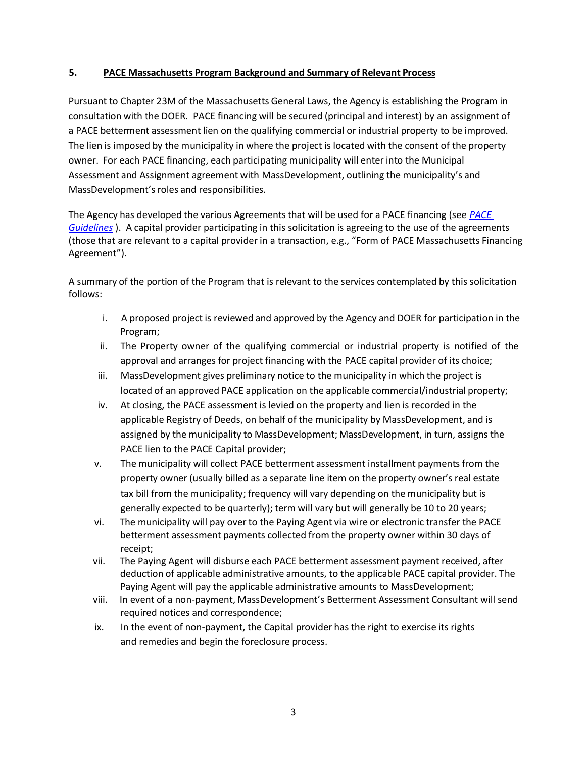### **5. PACE Massachusetts Program Background and Summary of Relevant Process**

Pursuant to Chapter 23M of the Massachusetts General Laws, the Agency is establishing the Program in consultation with the DOER. PACE financing will be secured (principal and interest) by an assignment of a PACE betterment assessment lien on the qualifying commercial or industrial property to be improved. The lien is imposed by the municipality in where the project is located with the consent of the property owner. For each PACE financing, each participating municipality will enter into the Municipal Assessment and Assignment agreement with MassDevelopment, outlining the municipality's and MassDevelopment's roles and responsibilities.

The Agency has developed the various Agreements that will be used for a PACE financing (see *[PACE](https://www.massdevelopment.com/assets/what-we-offer/pace/FINAL_Guidelines07312021.pdf)  [Guidelines](https://www.massdevelopment.com/assets/what-we-offer/pace/FINAL_Guidelines07312021.pdf)* ). A capital provider participating in this solicitation is agreeing to the use of the agreements (those that are relevant to a capital provider in a transaction, e.g., "Form of PACE Massachusetts Financing Agreement").

A summary of the portion of the Program that is relevant to the services contemplated by this solicitation follows:

- i. A proposed project is reviewed and approved by the Agency and DOER for participation in the Program;
- ii. The Property owner of the qualifying commercial or industrial property is notified of the approval and arranges for project financing with the PACE capital provider of its choice;
- iii. MassDevelopment gives preliminary notice to the municipality in which the project is located of an approved PACE application on the applicable commercial/industrial property;
- iv. At closing, the PACE assessment is levied on the property and lien is recorded in the applicable Registry of Deeds, on behalf of the municipality by MassDevelopment, and is assigned by the municipality to MassDevelopment; MassDevelopment, in turn, assigns the PACE lien to the PACE Capital provider;
- v. The municipality will collect PACE betterment assessment installment payments from the property owner (usually billed as a separate line item on the property owner's real estate tax bill from the municipality; frequency will vary depending on the municipality but is generally expected to be quarterly); term will vary but will generally be 10 to 20 years;
- vi. The municipality will pay over to the Paying Agent via wire or electronic transfer the PACE betterment assessment payments collected from the property owner within 30 days of receipt;
- vii. The Paying Agent will disburse each PACE betterment assessment payment received, after deduction of applicable administrative amounts, to the applicable PACE capital provider. The Paying Agent will pay the applicable administrative amounts to MassDevelopment;
- viii. In event of a non-payment, MassDevelopment's Betterment Assessment Consultant will send required notices and correspondence;
- ix. In the event of non-payment, the Capital provider has the right to exercise its rights and remedies and begin the foreclosure process.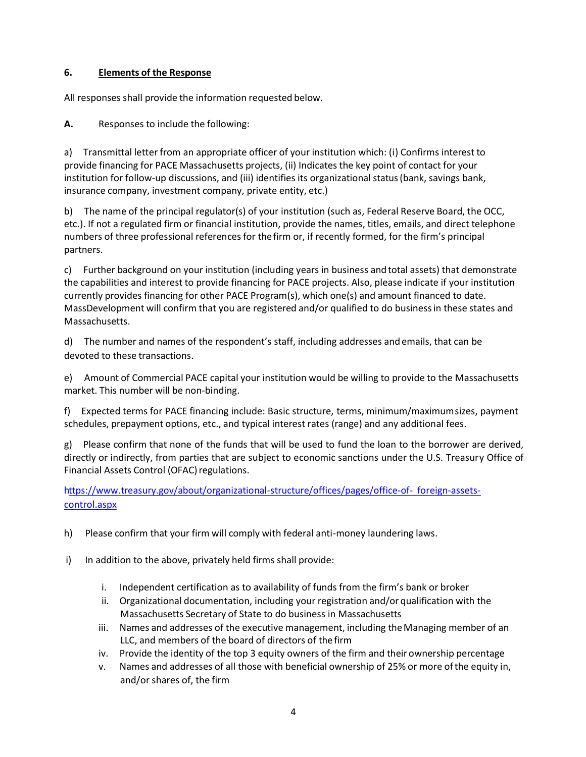# **6. Elements of the Response**

All responses shall provide the information requested below.

**A.** Responses to include the following:

a) Transmittal letter from an appropriate officer of your institution which: (i) Confirms interest to provide financing for PACE Massachusetts projects, (ii) Indicates the key point of contact for your institution for follow-up discussions, and (iii) identifies its organizational status(bank, savings bank, insurance company, investment company, private entity, etc.)

b) The name of the principal regulator(s) of your institution (such as, Federal Reserve Board, the OCC, etc.). If not a regulated firm or financial institution, provide the names, titles, emails, and direct telephone numbers of three professional references for thefirm or, if recently formed, for the firm's principal partners.

c) Further background on your institution (including years in business andtotal assets) that demonstrate the capabilities and interest to provide financing for PACE projects. Also, please indicate if your institution currently provides financing for other PACE Program(s), which one(s) and amount financed to date. MassDevelopment will confirm that you are registered and/or qualified to do businessin these states and Massachusetts.

d) The number and names of the respondent's staff, including addresses and emails, that can be devoted to these transactions.

e) Amount of Commercial PACE capital your institution would be willing to provide to the Massachusetts market. This number will be non-binding.

f) Expected terms for PACE financing include: Basic structure, terms, minimum/maximumsizes, payment schedules, prepayment options, etc., and typical interest rates (range) and any additional fees.

g) Please confirm that none of the funds that will be used to fund the loan to the borrower are derived, directly or indirectly, from parties that are subject to economic sanctions under the U.S. Treasury Office of Financial Assets Control (OFAC) regulations.

https:/[/www.treasury.gov/about/organizational-structure/offices/pages/office-of-](http://www.treasury.gov/about/organizational-structure/offices/pages/office-of-) foreign-assetscontrol.aspx

- h) Please confirm that your firm will comply with federal anti-money laundering laws.
- i) In addition to the above, privately held firms shall provide:
	- i. Independent certification as to availability of funds from the firm's bank or broker
	- ii. Organizational documentation, including your registration and/or qualification with the Massachusetts Secretary of State to do business in Massachusetts
	- iii. Names and addresses of the executive management, including theManaging member of an LLC, and members of the board of directors of the firm
	- iv. Provide the identity of the top 3 equity owners of the firm and their ownership percentage
	- v. Names and addresses of all those with beneficial ownership of 25% or more ofthe equity in, and/orshares of, the firm